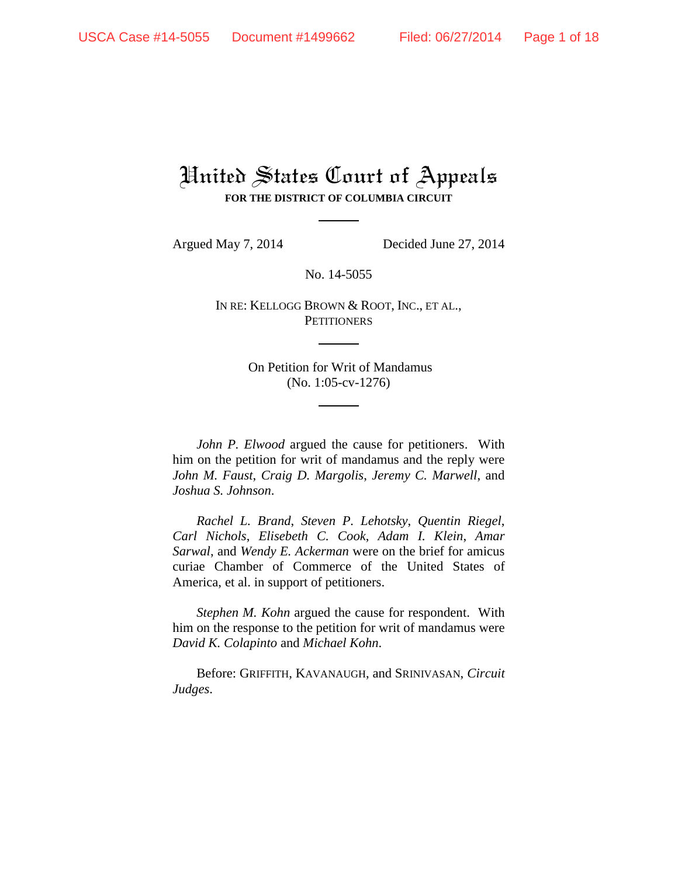## United States Court of Appeals **FOR THE DISTRICT OF COLUMBIA CIRCUIT**

Argued May 7, 2014 Decided June 27, 2014

No. 14-5055

IN RE: KELLOGG BROWN & ROOT, INC., ET AL., **PETITIONERS** 

> On Petition for Writ of Mandamus (No. 1:05-cv-1276)

*John P. Elwood* argued the cause for petitioners. With him on the petition for writ of mandamus and the reply were *John M. Faust*, *Craig D. Margolis*, *Jeremy C. Marwell*, and *Joshua S. Johnson*.

*Rachel L. Brand*, *Steven P. Lehotsky*, *Quentin Riegel*, *Carl Nichols*, *Elisebeth C. Cook*, *Adam I. Klein*, *Amar Sarwal*, and *Wendy E. Ackerman* were on the brief for amicus curiae Chamber of Commerce of the United States of America, et al. in support of petitioners.

*Stephen M. Kohn* argued the cause for respondent. With him on the response to the petition for writ of mandamus were *David K. Colapinto* and *Michael Kohn*.

Before: GRIFFITH, KAVANAUGH, and SRINIVASAN, *Circuit Judges*.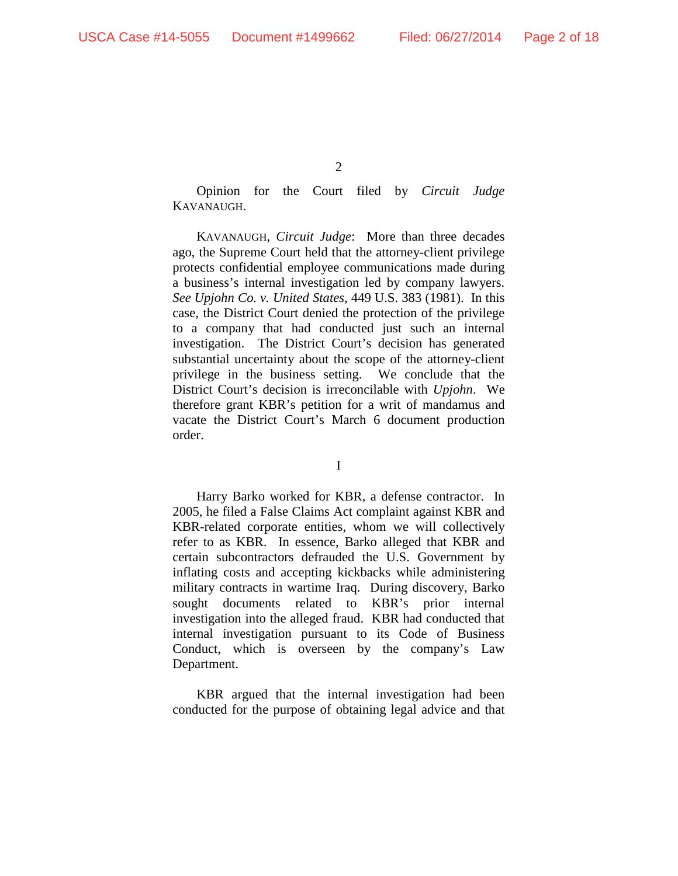$\mathcal{L}$ 

Opinion for the Court filed by *Circuit Judge* KAVANAUGH.

KAVANAUGH, *Circuit Judge*: More than three decades ago, the Supreme Court held that the attorney-client privilege protects confidential employee communications made during a business's internal investigation led by company lawyers. *See Upjohn Co. v. United States*, 449 U.S. 383 (1981). In this case, the District Court denied the protection of the privilege to a company that had conducted just such an internal investigation. The District Court's decision has generated substantial uncertainty about the scope of the attorney-client privilege in the business setting. We conclude that the District Court's decision is irreconcilable with *Upjohn*. We therefore grant KBR's petition for a writ of mandamus and vacate the District Court's March 6 document production order.

I

Harry Barko worked for KBR, a defense contractor. In 2005, he filed a False Claims Act complaint against KBR and KBR-related corporate entities, whom we will collectively refer to as KBR. In essence, Barko alleged that KBR and certain subcontractors defrauded the U.S. Government by inflating costs and accepting kickbacks while administering military contracts in wartime Iraq. During discovery, Barko sought documents related to KBR's prior internal investigation into the alleged fraud. KBR had conducted that internal investigation pursuant to its Code of Business Conduct, which is overseen by the company's Law Department.

KBR argued that the internal investigation had been conducted for the purpose of obtaining legal advice and that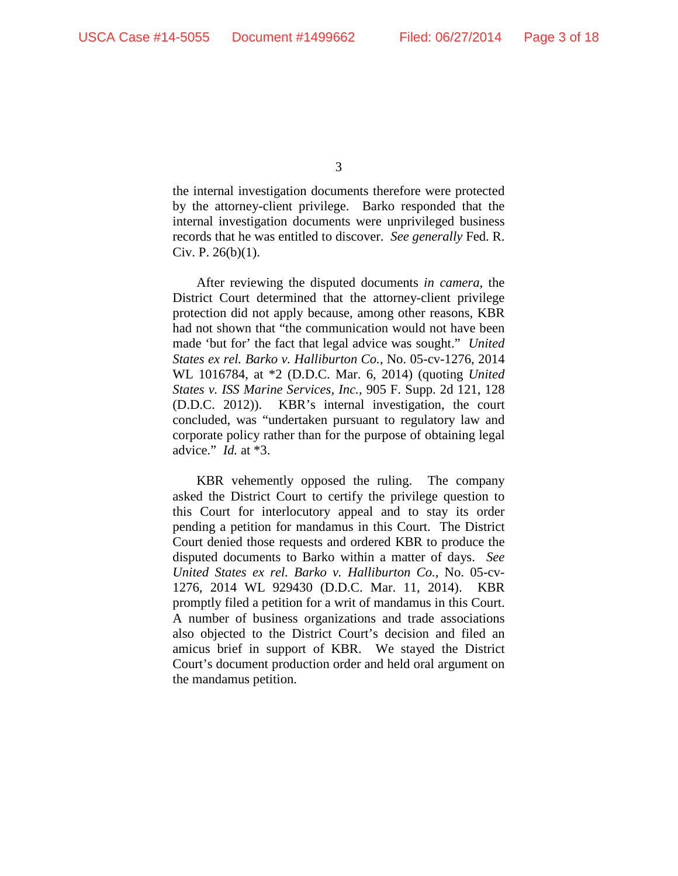the internal investigation documents therefore were protected by the attorney-client privilege. Barko responded that the internal investigation documents were unprivileged business records that he was entitled to discover. *See generally* Fed. R. Civ. P.  $26(b)(1)$ .

After reviewing the disputed documents *in camera*, the District Court determined that the attorney-client privilege protection did not apply because, among other reasons, KBR had not shown that "the communication would not have been made 'but for' the fact that legal advice was sought." *United States ex rel. Barko v. Halliburton Co.*, No. 05-cv-1276, 2014 WL 1016784, at \*2 (D.D.C. Mar. 6, 2014) (quoting *United States v. ISS Marine Services, Inc.*, 905 F. Supp. 2d 121, 128 (D.D.C. 2012)). KBR's internal investigation, the court concluded, was "undertaken pursuant to regulatory law and corporate policy rather than for the purpose of obtaining legal advice." *Id.* at \*3.

KBR vehemently opposed the ruling. The company asked the District Court to certify the privilege question to this Court for interlocutory appeal and to stay its order pending a petition for mandamus in this Court. The District Court denied those requests and ordered KBR to produce the disputed documents to Barko within a matter of days. *See United States ex rel. Barko v. Halliburton Co.*, No. 05-cv-1276, 2014 WL 929430 (D.D.C. Mar. 11, 2014). KBR promptly filed a petition for a writ of mandamus in this Court. A number of business organizations and trade associations also objected to the District Court's decision and filed an amicus brief in support of KBR. We stayed the District Court's document production order and held oral argument on the mandamus petition.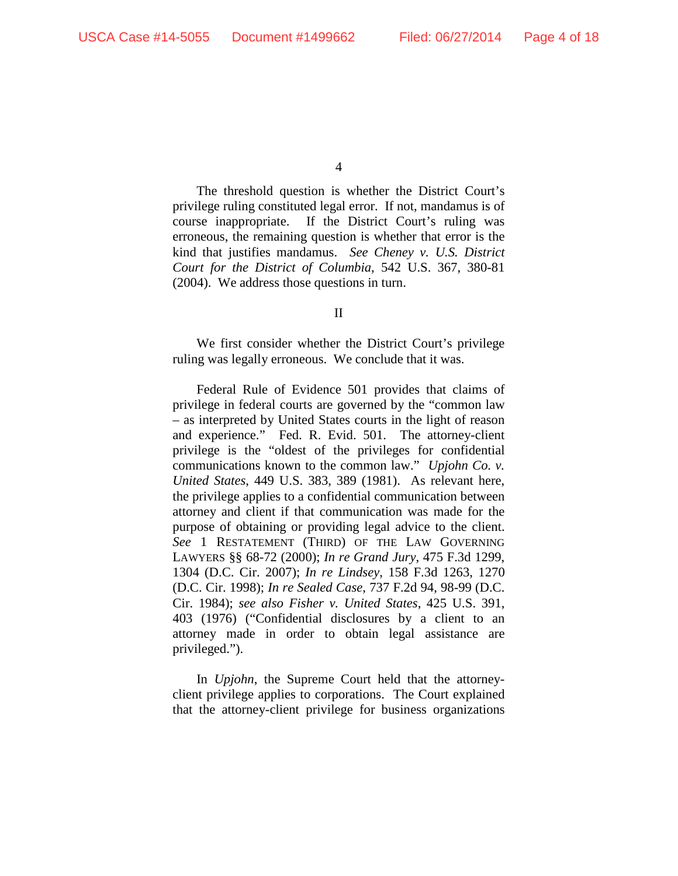The threshold question is whether the District Court's privilege ruling constituted legal error. If not, mandamus is of course inappropriate. If the District Court's ruling was erroneous, the remaining question is whether that error is the kind that justifies mandamus. *See Cheney v. U.S. District Court for the District of Columbia*, 542 U.S. 367, 380-81 (2004). We address those questions in turn.

II

We first consider whether the District Court's privilege ruling was legally erroneous. We conclude that it was.

Federal Rule of Evidence 501 provides that claims of privilege in federal courts are governed by the "common law – as interpreted by United States courts in the light of reason and experience." Fed. R. Evid. 501. The attorney-client privilege is the "oldest of the privileges for confidential communications known to the common law." *Upjohn Co. v. United States*, 449 U.S. 383, 389 (1981). As relevant here, the privilege applies to a confidential communication between attorney and client if that communication was made for the purpose of obtaining or providing legal advice to the client. *See* 1 RESTATEMENT (THIRD) OF THE LAW GOVERNING LAWYERS §§ 68-72 (2000); *In re Grand Jury*, 475 F.3d 1299, 1304 (D.C. Cir. 2007); *In re Lindsey*, 158 F.3d 1263, 1270 (D.C. Cir. 1998); *In re Sealed Case*, 737 F.2d 94, 98-99 (D.C. Cir. 1984); *see also Fisher v. United States*, 425 U.S. 391, 403 (1976) ("Confidential disclosures by a client to an attorney made in order to obtain legal assistance are privileged.").

In *Upjohn*, the Supreme Court held that the attorneyclient privilege applies to corporations. The Court explained that the attorney-client privilege for business organizations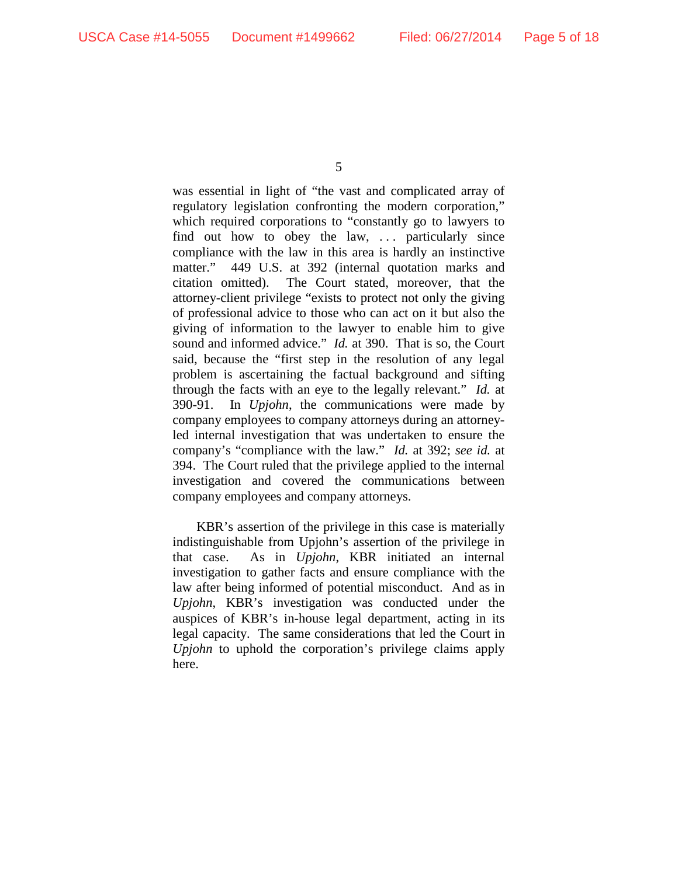was essential in light of "the vast and complicated array of regulatory legislation confronting the modern corporation," which required corporations to "constantly go to lawyers to find out how to obey the law, ... particularly since compliance with the law in this area is hardly an instinctive matter." 449 U.S. at 392 (internal quotation marks and citation omitted). The Court stated, moreover, that the attorney-client privilege "exists to protect not only the giving of professional advice to those who can act on it but also the giving of information to the lawyer to enable him to give sound and informed advice." *Id.* at 390. That is so, the Court said, because the "first step in the resolution of any legal problem is ascertaining the factual background and sifting through the facts with an eye to the legally relevant." *Id.* at 390-91. In *Upjohn*, the communications were made by company employees to company attorneys during an attorneyled internal investigation that was undertaken to ensure the company's "compliance with the law." *Id.* at 392; *see id.* at 394. The Court ruled that the privilege applied to the internal investigation and covered the communications between company employees and company attorneys.

KBR's assertion of the privilege in this case is materially indistinguishable from Upjohn's assertion of the privilege in that case. As in *Upjohn*, KBR initiated an internal investigation to gather facts and ensure compliance with the law after being informed of potential misconduct. And as in *Upjohn*, KBR's investigation was conducted under the auspices of KBR's in-house legal department, acting in its legal capacity. The same considerations that led the Court in *Upjohn* to uphold the corporation's privilege claims apply here.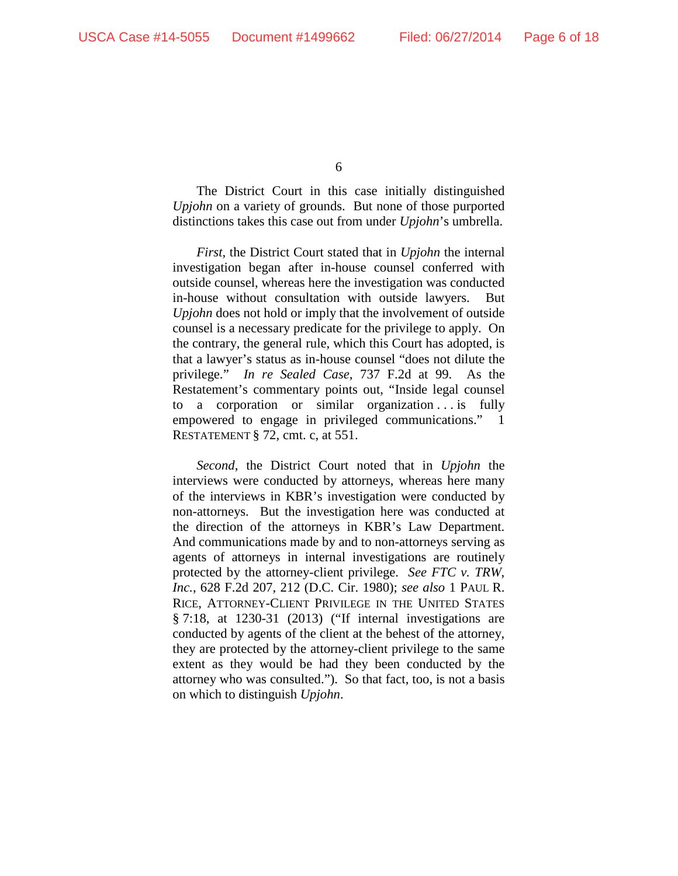The District Court in this case initially distinguished *Upjohn* on a variety of grounds. But none of those purported distinctions takes this case out from under *Upjohn*'s umbrella.

*First*, the District Court stated that in *Upjohn* the internal investigation began after in-house counsel conferred with outside counsel, whereas here the investigation was conducted in-house without consultation with outside lawyers. But *Upjohn* does not hold or imply that the involvement of outside counsel is a necessary predicate for the privilege to apply. On the contrary, the general rule, which this Court has adopted, is that a lawyer's status as in-house counsel "does not dilute the privilege." *In re Sealed Case*, 737 F.2d at 99. As the Restatement's commentary points out, "Inside legal counsel to a corporation or similar organization ... is fully empowered to engage in privileged communications." 1 RESTATEMENT § 72, cmt. c, at 551.

*Second*, the District Court noted that in *Upjohn* the interviews were conducted by attorneys, whereas here many of the interviews in KBR's investigation were conducted by non-attorneys. But the investigation here was conducted at the direction of the attorneys in KBR's Law Department. And communications made by and to non-attorneys serving as agents of attorneys in internal investigations are routinely protected by the attorney-client privilege. *See FTC v. TRW*, *Inc.*, 628 F.2d 207, 212 (D.C. Cir. 1980); *see also* 1 PAUL R. RICE, ATTORNEY-CLIENT PRIVILEGE IN THE UNITED STATES § 7:18, at 1230-31 (2013) ("If internal investigations are conducted by agents of the client at the behest of the attorney, they are protected by the attorney-client privilege to the same extent as they would be had they been conducted by the attorney who was consulted."). So that fact, too, is not a basis on which to distinguish *Upjohn*.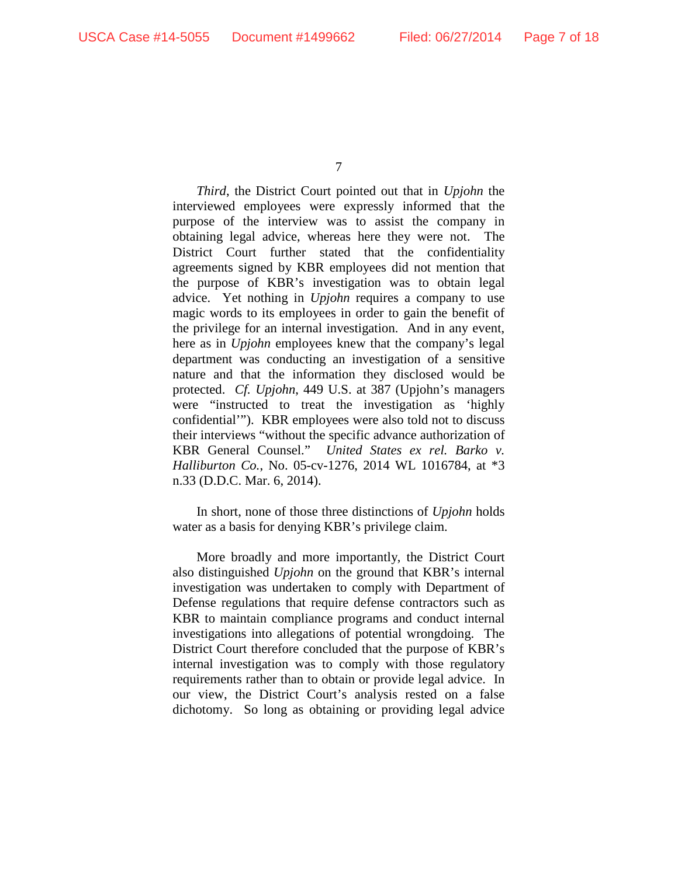*Third*, the District Court pointed out that in *Upjohn* the interviewed employees were expressly informed that the purpose of the interview was to assist the company in obtaining legal advice, whereas here they were not. The District Court further stated that the confidentiality agreements signed by KBR employees did not mention that the purpose of KBR's investigation was to obtain legal advice. Yet nothing in *Upjohn* requires a company to use magic words to its employees in order to gain the benefit of the privilege for an internal investigation. And in any event, here as in *Upjohn* employees knew that the company's legal department was conducting an investigation of a sensitive nature and that the information they disclosed would be protected. *Cf. Upjohn*, 449 U.S. at 387 (Upjohn's managers were "instructed to treat the investigation as 'highly confidential'"). KBR employees were also told not to discuss their interviews "without the specific advance authorization of KBR General Counsel." *United States ex rel. Barko v. Halliburton Co.*, No. 05-cv-1276, 2014 WL 1016784, at \*3 n.33 (D.D.C. Mar. 6, 2014).

In short, none of those three distinctions of *Upjohn* holds water as a basis for denying KBR's privilege claim.

More broadly and more importantly, the District Court also distinguished *Upjohn* on the ground that KBR's internal investigation was undertaken to comply with Department of Defense regulations that require defense contractors such as KBR to maintain compliance programs and conduct internal investigations into allegations of potential wrongdoing. The District Court therefore concluded that the purpose of KBR's internal investigation was to comply with those regulatory requirements rather than to obtain or provide legal advice. In our view, the District Court's analysis rested on a false dichotomy. So long as obtaining or providing legal advice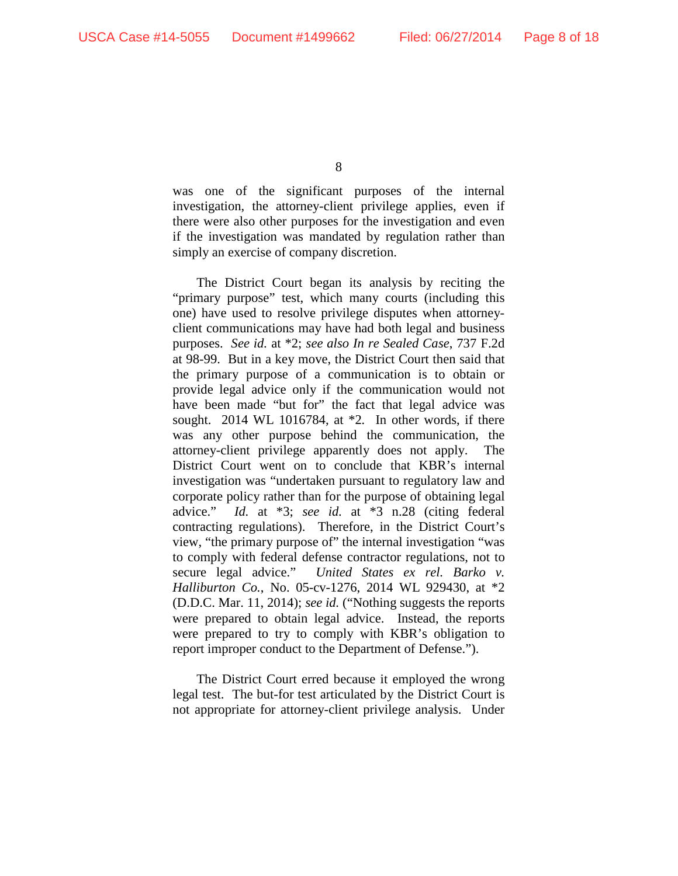was one of the significant purposes of the internal investigation, the attorney-client privilege applies, even if there were also other purposes for the investigation and even if the investigation was mandated by regulation rather than simply an exercise of company discretion.

The District Court began its analysis by reciting the "primary purpose" test, which many courts (including this one) have used to resolve privilege disputes when attorneyclient communications may have had both legal and business purposes. *See id.* at \*2; *see also In re Sealed Case*, 737 F.2d at 98-99. But in a key move, the District Court then said that the primary purpose of a communication is to obtain or provide legal advice only if the communication would not have been made "but for" the fact that legal advice was sought. 2014 WL 1016784, at \*2*.* In other words, if there was any other purpose behind the communication, the attorney-client privilege apparently does not apply. The District Court went on to conclude that KBR's internal investigation was "undertaken pursuant to regulatory law and corporate policy rather than for the purpose of obtaining legal advice." *Id.* at \*3; *see id.* at \*3 n.28 (citing federal contracting regulations). Therefore, in the District Court's view, "the primary purpose of" the internal investigation "was to comply with federal defense contractor regulations, not to secure legal advice." *United States ex rel. Barko v. Halliburton Co.*, No. 05-cv-1276, 2014 WL 929430, at \*2 (D.D.C. Mar. 11, 2014); *see id.* ("Nothing suggests the reports were prepared to obtain legal advice. Instead, the reports were prepared to try to comply with KBR's obligation to report improper conduct to the Department of Defense.").

The District Court erred because it employed the wrong legal test. The but-for test articulated by the District Court is not appropriate for attorney-client privilege analysis. Under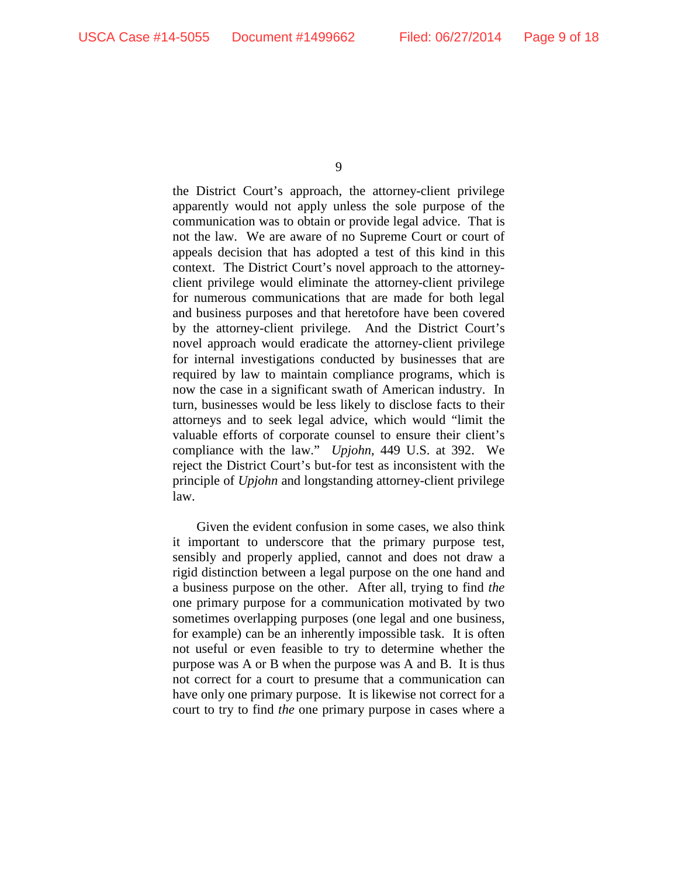the District Court's approach, the attorney-client privilege apparently would not apply unless the sole purpose of the communication was to obtain or provide legal advice. That is not the law. We are aware of no Supreme Court or court of appeals decision that has adopted a test of this kind in this context. The District Court's novel approach to the attorneyclient privilege would eliminate the attorney-client privilege for numerous communications that are made for both legal and business purposes and that heretofore have been covered by the attorney-client privilege. And the District Court's novel approach would eradicate the attorney-client privilege for internal investigations conducted by businesses that are required by law to maintain compliance programs, which is now the case in a significant swath of American industry. In turn, businesses would be less likely to disclose facts to their attorneys and to seek legal advice, which would "limit the valuable efforts of corporate counsel to ensure their client's compliance with the law." *Upjohn*, 449 U.S. at 392. We reject the District Court's but-for test as inconsistent with the principle of *Upjohn* and longstanding attorney-client privilege law.

Given the evident confusion in some cases, we also think it important to underscore that the primary purpose test, sensibly and properly applied, cannot and does not draw a rigid distinction between a legal purpose on the one hand and a business purpose on the other. After all, trying to find *the* one primary purpose for a communication motivated by two sometimes overlapping purposes (one legal and one business, for example) can be an inherently impossible task. It is often not useful or even feasible to try to determine whether the purpose was A or B when the purpose was A and B. It is thus not correct for a court to presume that a communication can have only one primary purpose. It is likewise not correct for a court to try to find *the* one primary purpose in cases where a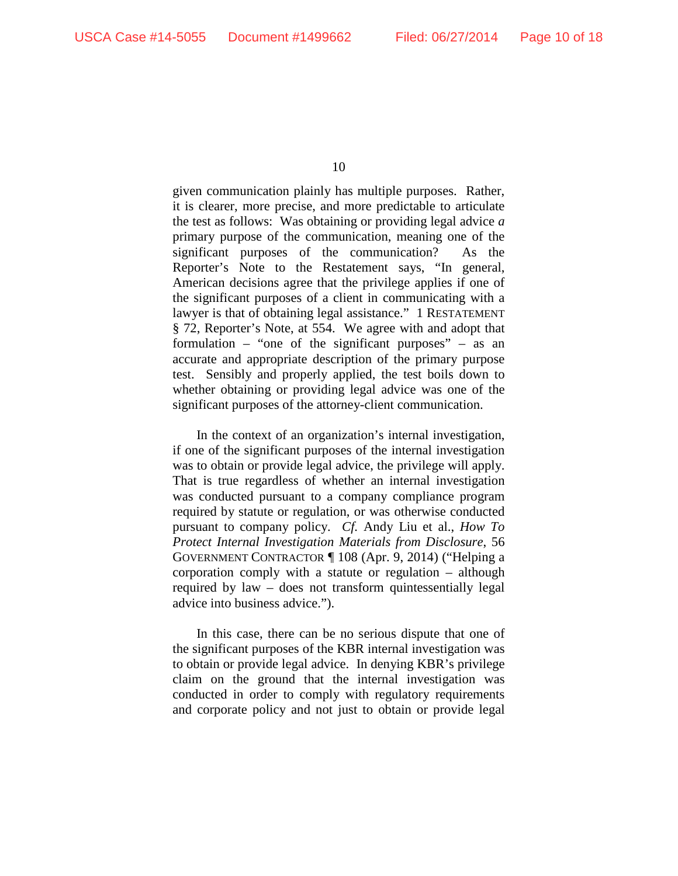given communication plainly has multiple purposes. Rather, it is clearer, more precise, and more predictable to articulate the test as follows: Was obtaining or providing legal advice *a* primary purpose of the communication, meaning one of the significant purposes of the communication? As the Reporter's Note to the Restatement says, "In general, American decisions agree that the privilege applies if one of the significant purposes of a client in communicating with a lawyer is that of obtaining legal assistance." 1 RESTATEMENT § 72, Reporter's Note, at 554. We agree with and adopt that formulation – "one of the significant purposes" – as an accurate and appropriate description of the primary purpose test. Sensibly and properly applied, the test boils down to whether obtaining or providing legal advice was one of the significant purposes of the attorney-client communication.

In the context of an organization's internal investigation, if one of the significant purposes of the internal investigation was to obtain or provide legal advice, the privilege will apply. That is true regardless of whether an internal investigation was conducted pursuant to a company compliance program required by statute or regulation, or was otherwise conducted pursuant to company policy. *Cf.* Andy Liu et al., *How To Protect Internal Investigation Materials from Disclosure*, 56 GOVERNMENT CONTRACTOR ¶ 108 (Apr. 9, 2014) ("Helping a corporation comply with a statute or regulation – although required by law – does not transform quintessentially legal advice into business advice.").

In this case, there can be no serious dispute that one of the significant purposes of the KBR internal investigation was to obtain or provide legal advice. In denying KBR's privilege claim on the ground that the internal investigation was conducted in order to comply with regulatory requirements and corporate policy and not just to obtain or provide legal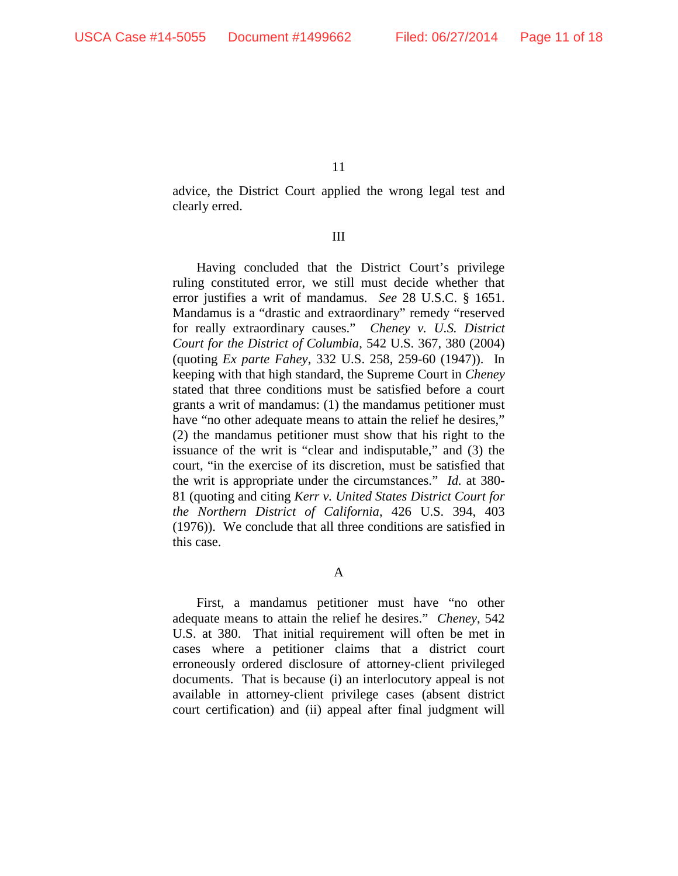advice, the District Court applied the wrong legal test and clearly erred.

III

Having concluded that the District Court's privilege ruling constituted error, we still must decide whether that error justifies a writ of mandamus. *See* 28 U.S.C. § 1651. Mandamus is a "drastic and extraordinary" remedy "reserved for really extraordinary causes." *Cheney v. U.S. District Court for the District of Columbia*, 542 U.S. 367, 380 (2004) (quoting *Ex parte Fahey*, 332 U.S. 258, 259-60 (1947)). In keeping with that high standard, the Supreme Court in *Cheney* stated that three conditions must be satisfied before a court grants a writ of mandamus: (1) the mandamus petitioner must have "no other adequate means to attain the relief he desires," (2) the mandamus petitioner must show that his right to the issuance of the writ is "clear and indisputable," and (3) the court, "in the exercise of its discretion, must be satisfied that the writ is appropriate under the circumstances." *Id.* at 380- 81 (quoting and citing *Kerr v. United States District Court for the Northern District of California*, 426 U.S. 394, 403 (1976)). We conclude that all three conditions are satisfied in this case.

A

First, a mandamus petitioner must have "no other adequate means to attain the relief he desires." *Cheney*, 542 U.S. at 380. That initial requirement will often be met in cases where a petitioner claims that a district court erroneously ordered disclosure of attorney-client privileged documents. That is because (i) an interlocutory appeal is not available in attorney-client privilege cases (absent district court certification) and (ii) appeal after final judgment will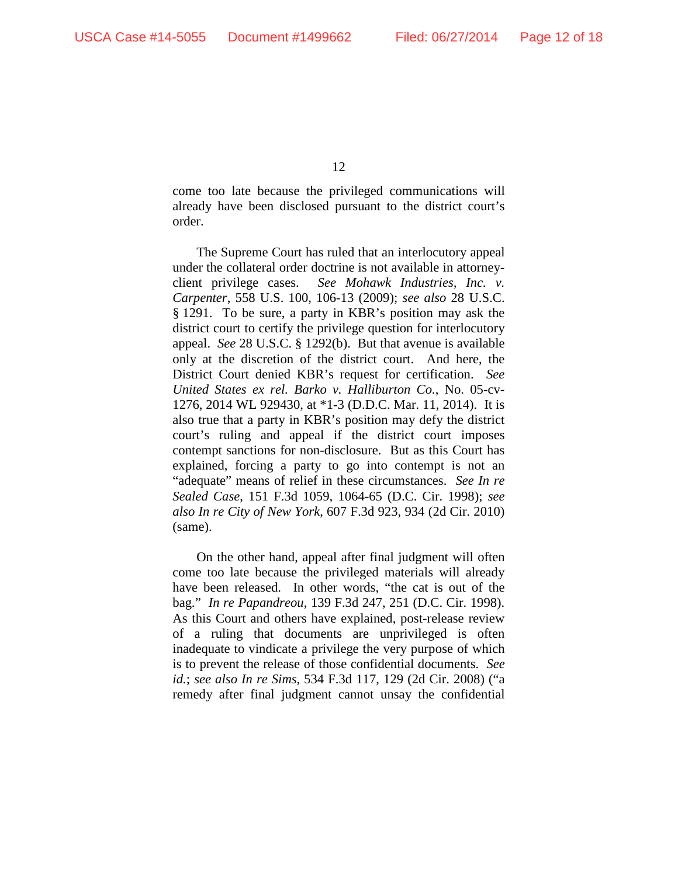come too late because the privileged communications will already have been disclosed pursuant to the district court's order.

The Supreme Court has ruled that an interlocutory appeal under the collateral order doctrine is not available in attorneyclient privilege cases. *See Mohawk Industries, Inc. v. Carpenter*, 558 U.S. 100, 106-13 (2009); *see also* 28 U.S.C. § 1291. To be sure, a party in KBR's position may ask the district court to certify the privilege question for interlocutory appeal. *See* 28 U.S.C. § 1292(b). But that avenue is available only at the discretion of the district court. And here, the District Court denied KBR's request for certification. *See United States ex rel. Barko v. Halliburton Co.*, No. 05-cv-1276, 2014 WL 929430, at \*1-3 (D.D.C. Mar. 11, 2014). It is also true that a party in KBR's position may defy the district court's ruling and appeal if the district court imposes contempt sanctions for non-disclosure. But as this Court has explained, forcing a party to go into contempt is not an "adequate" means of relief in these circumstances. *See In re Sealed Case*, 151 F.3d 1059, 1064-65 (D.C. Cir. 1998); *see also In re City of New York*, 607 F.3d 923, 934 (2d Cir. 2010) (same).

On the other hand, appeal after final judgment will often come too late because the privileged materials will already have been released. In other words, "the cat is out of the bag." *In re Papandreou*, 139 F.3d 247, 251 (D.C. Cir. 1998). As this Court and others have explained, post-release review of a ruling that documents are unprivileged is often inadequate to vindicate a privilege the very purpose of which is to prevent the release of those confidential documents. *See id.*; *see also In re Sims*, 534 F.3d 117, 129 (2d Cir. 2008) ("a remedy after final judgment cannot unsay the confidential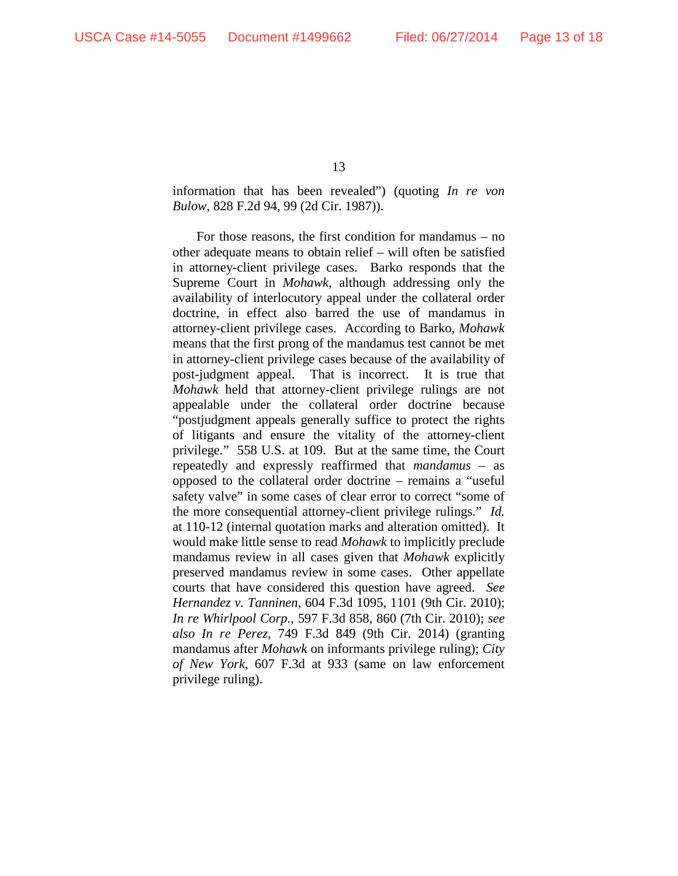information that has been revealed") (quoting *In re von Bulow*, 828 F.2d 94, 99 (2d Cir. 1987)).

For those reasons, the first condition for mandamus – no other adequate means to obtain relief – will often be satisfied in attorney-client privilege cases. Barko responds that the Supreme Court in *Mohawk*, although addressing only the availability of interlocutory appeal under the collateral order doctrine, in effect also barred the use of mandamus in attorney-client privilege cases. According to Barko, *Mohawk* means that the first prong of the mandamus test cannot be met in attorney-client privilege cases because of the availability of post-judgment appeal. That is incorrect. It is true that *Mohawk* held that attorney-client privilege rulings are not appealable under the collateral order doctrine because "postjudgment appeals generally suffice to protect the rights of litigants and ensure the vitality of the attorney-client privilege." 558 U.S. at 109. But at the same time, the Court repeatedly and expressly reaffirmed that *mandamus* – as opposed to the collateral order doctrine – remains a "useful safety valve" in some cases of clear error to correct "some of the more consequential attorney-client privilege rulings." *Id.* at 110-12 (internal quotation marks and alteration omitted). It would make little sense to read *Mohawk* to implicitly preclude mandamus review in all cases given that *Mohawk* explicitly preserved mandamus review in some cases. Other appellate courts that have considered this question have agreed. *See Hernandez v. Tanninen*, 604 F.3d 1095, 1101 (9th Cir. 2010); *In re Whirlpool Corp.*, 597 F.3d 858, 860 (7th Cir. 2010); *see also In re Perez*, 749 F.3d 849 (9th Cir. 2014) (granting mandamus after *Mohawk* on informants privilege ruling); *City of New York*, 607 F.3d at 933 (same on law enforcement privilege ruling).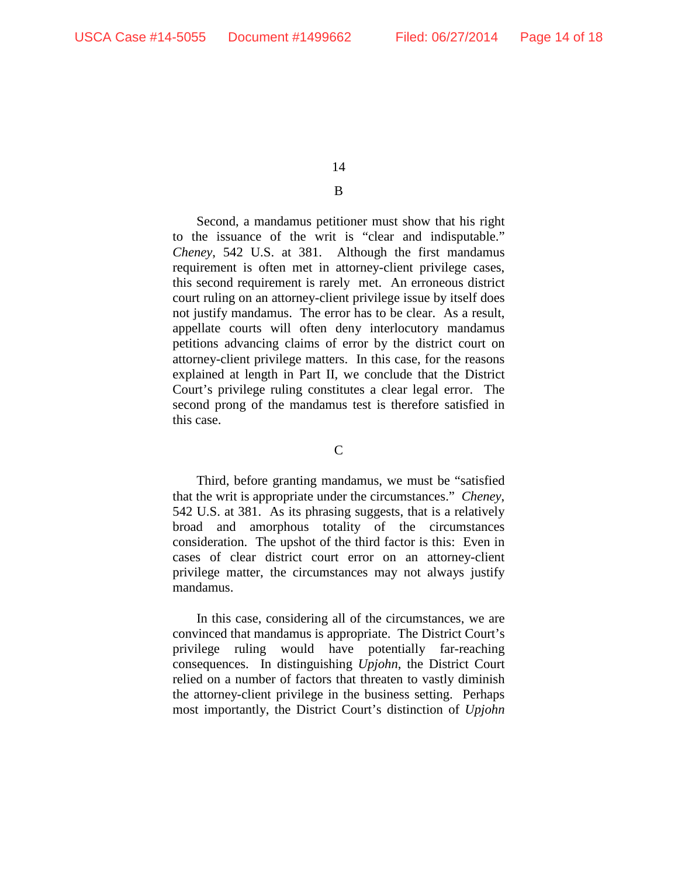## B

Second, a mandamus petitioner must show that his right to the issuance of the writ is "clear and indisputable." *Cheney*, 542 U.S. at 381. Although the first mandamus requirement is often met in attorney-client privilege cases, this second requirement is rarely met. An erroneous district court ruling on an attorney-client privilege issue by itself does not justify mandamus. The error has to be clear. As a result, appellate courts will often deny interlocutory mandamus petitions advancing claims of error by the district court on attorney-client privilege matters. In this case, for the reasons explained at length in Part II, we conclude that the District Court's privilege ruling constitutes a clear legal error. The second prong of the mandamus test is therefore satisfied in this case.

## C

Third, before granting mandamus, we must be "satisfied that the writ is appropriate under the circumstances." *Cheney*, 542 U.S. at 381. As its phrasing suggests, that is a relatively broad and amorphous totality of the circumstances consideration. The upshot of the third factor is this: Even in cases of clear district court error on an attorney-client privilege matter, the circumstances may not always justify mandamus.

In this case, considering all of the circumstances, we are convinced that mandamus is appropriate. The District Court's privilege ruling would have potentially far-reaching consequences. In distinguishing *Upjohn*, the District Court relied on a number of factors that threaten to vastly diminish the attorney-client privilege in the business setting. Perhaps most importantly, the District Court's distinction of *Upjohn*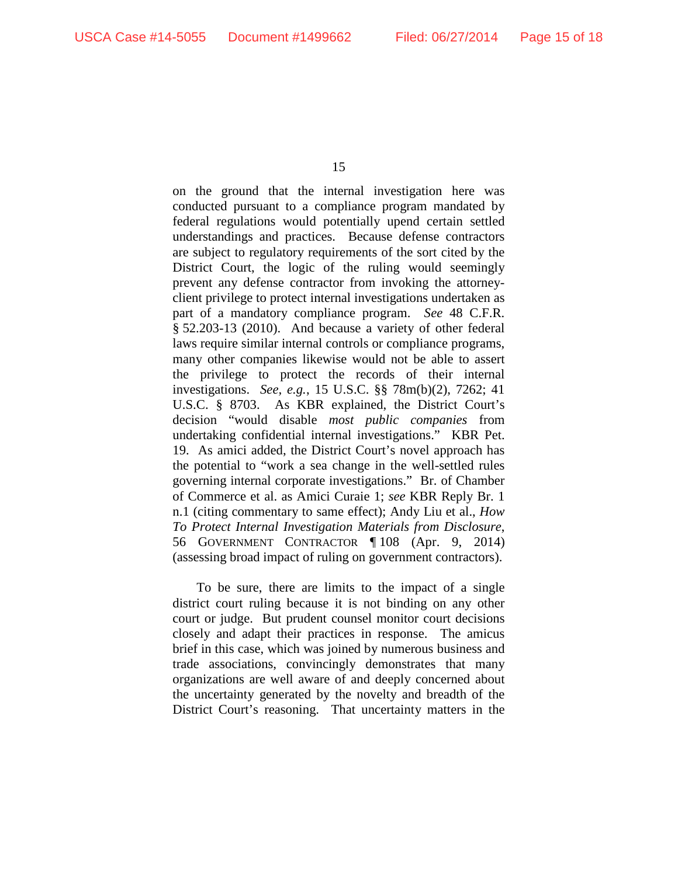on the ground that the internal investigation here was conducted pursuant to a compliance program mandated by federal regulations would potentially upend certain settled understandings and practices. Because defense contractors are subject to regulatory requirements of the sort cited by the District Court, the logic of the ruling would seemingly prevent any defense contractor from invoking the attorneyclient privilege to protect internal investigations undertaken as part of a mandatory compliance program. *See* 48 C.F.R. § 52.203-13 (2010). And because a variety of other federal laws require similar internal controls or compliance programs, many other companies likewise would not be able to assert the privilege to protect the records of their internal investigations. *See, e.g.*, 15 U.S.C. §§ 78m(b)(2), 7262; 41 U.S.C. § 8703. As KBR explained, the District Court's decision "would disable *most public companies* from undertaking confidential internal investigations." KBR Pet. 19. As amici added, the District Court's novel approach has the potential to "work a sea change in the well-settled rules governing internal corporate investigations." Br. of Chamber of Commerce et al. as Amici Curaie 1; *see* KBR Reply Br. 1 n.1 (citing commentary to same effect); Andy Liu et al., *How To Protect Internal Investigation Materials from Disclosure*, 56 GOVERNMENT CONTRACTOR ¶ 108 (Apr. 9, 2014) (assessing broad impact of ruling on government contractors).

To be sure, there are limits to the impact of a single district court ruling because it is not binding on any other court or judge. But prudent counsel monitor court decisions closely and adapt their practices in response. The amicus brief in this case, which was joined by numerous business and trade associations, convincingly demonstrates that many organizations are well aware of and deeply concerned about the uncertainty generated by the novelty and breadth of the District Court's reasoning. That uncertainty matters in the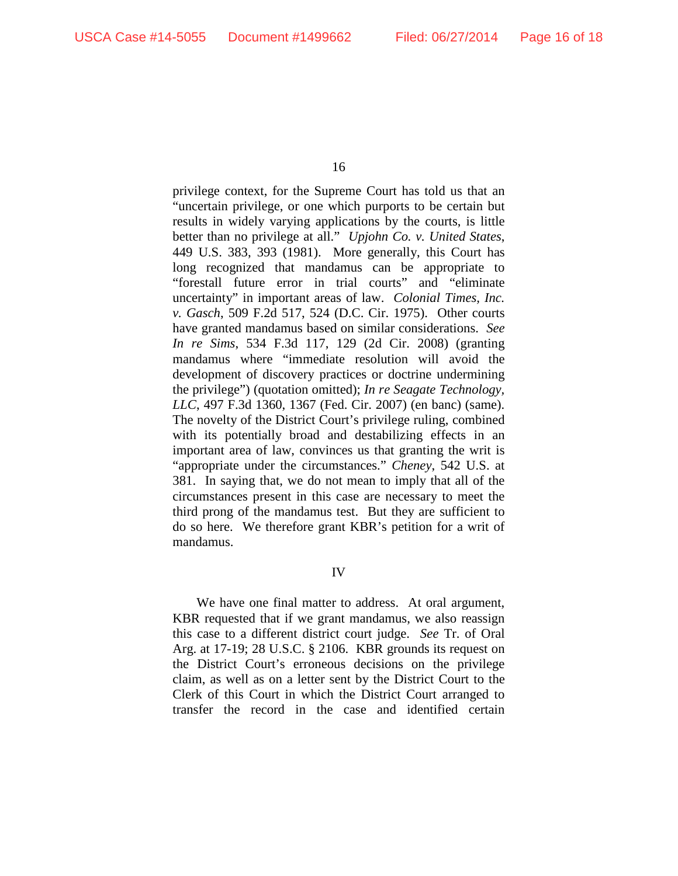privilege context, for the Supreme Court has told us that an "uncertain privilege, or one which purports to be certain but results in widely varying applications by the courts, is little better than no privilege at all." *Upjohn Co. v. United States*, 449 U.S. 383, 393 (1981). More generally, this Court has long recognized that mandamus can be appropriate to "forestall future error in trial courts" and "eliminate uncertainty" in important areas of law. *Colonial Times, Inc. v. Gasch*, 509 F.2d 517, 524 (D.C. Cir. 1975). Other courts have granted mandamus based on similar considerations. *See In re Sims*, 534 F.3d 117, 129 (2d Cir. 2008) (granting mandamus where "immediate resolution will avoid the development of discovery practices or doctrine undermining the privilege") (quotation omitted); *In re Seagate Technology, LLC*, 497 F.3d 1360, 1367 (Fed. Cir. 2007) (en banc) (same). The novelty of the District Court's privilege ruling, combined with its potentially broad and destabilizing effects in an important area of law, convinces us that granting the writ is "appropriate under the circumstances." *Cheney*, 542 U.S. at 381. In saying that, we do not mean to imply that all of the circumstances present in this case are necessary to meet the third prong of the mandamus test. But they are sufficient to do so here. We therefore grant KBR's petition for a writ of mandamus.

IV

We have one final matter to address. At oral argument, KBR requested that if we grant mandamus, we also reassign this case to a different district court judge. *See* Tr. of Oral Arg. at 17-19; 28 U.S.C. § 2106. KBR grounds its request on the District Court's erroneous decisions on the privilege claim, as well as on a letter sent by the District Court to the Clerk of this Court in which the District Court arranged to transfer the record in the case and identified certain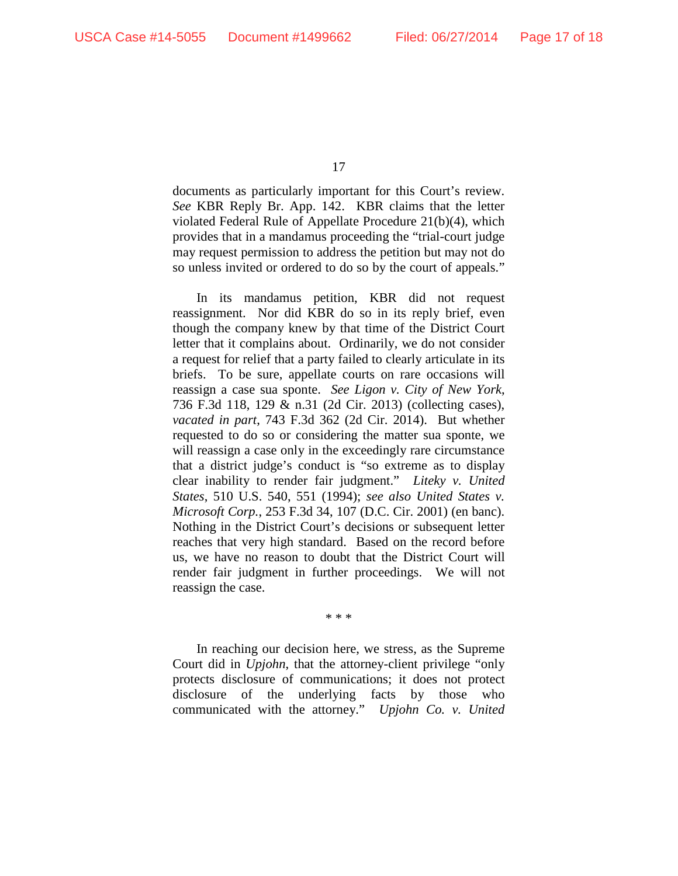documents as particularly important for this Court's review. *See* KBR Reply Br. App. 142. KBR claims that the letter violated Federal Rule of Appellate Procedure 21(b)(4), which provides that in a mandamus proceeding the "trial-court judge may request permission to address the petition but may not do so unless invited or ordered to do so by the court of appeals."

In its mandamus petition, KBR did not request reassignment. Nor did KBR do so in its reply brief, even though the company knew by that time of the District Court letter that it complains about. Ordinarily, we do not consider a request for relief that a party failed to clearly articulate in its briefs. To be sure, appellate courts on rare occasions will reassign a case sua sponte. *See Ligon v. City of New York*, 736 F.3d 118, 129 & n.31 (2d Cir. 2013) (collecting cases), *vacated in part*, 743 F.3d 362 (2d Cir. 2014). But whether requested to do so or considering the matter sua sponte, we will reassign a case only in the exceedingly rare circumstance that a district judge's conduct is "so extreme as to display clear inability to render fair judgment." *Liteky v. United States*, 510 U.S. 540, 551 (1994); *see also United States v. Microsoft Corp.*, 253 F.3d 34, 107 (D.C. Cir. 2001) (en banc). Nothing in the District Court's decisions or subsequent letter reaches that very high standard. Based on the record before us, we have no reason to doubt that the District Court will render fair judgment in further proceedings. We will not reassign the case.

\* \* \*

In reaching our decision here, we stress, as the Supreme Court did in *Upjohn*, that the attorney-client privilege "only protects disclosure of communications; it does not protect disclosure of the underlying facts by those who communicated with the attorney." *Upjohn Co. v. United*